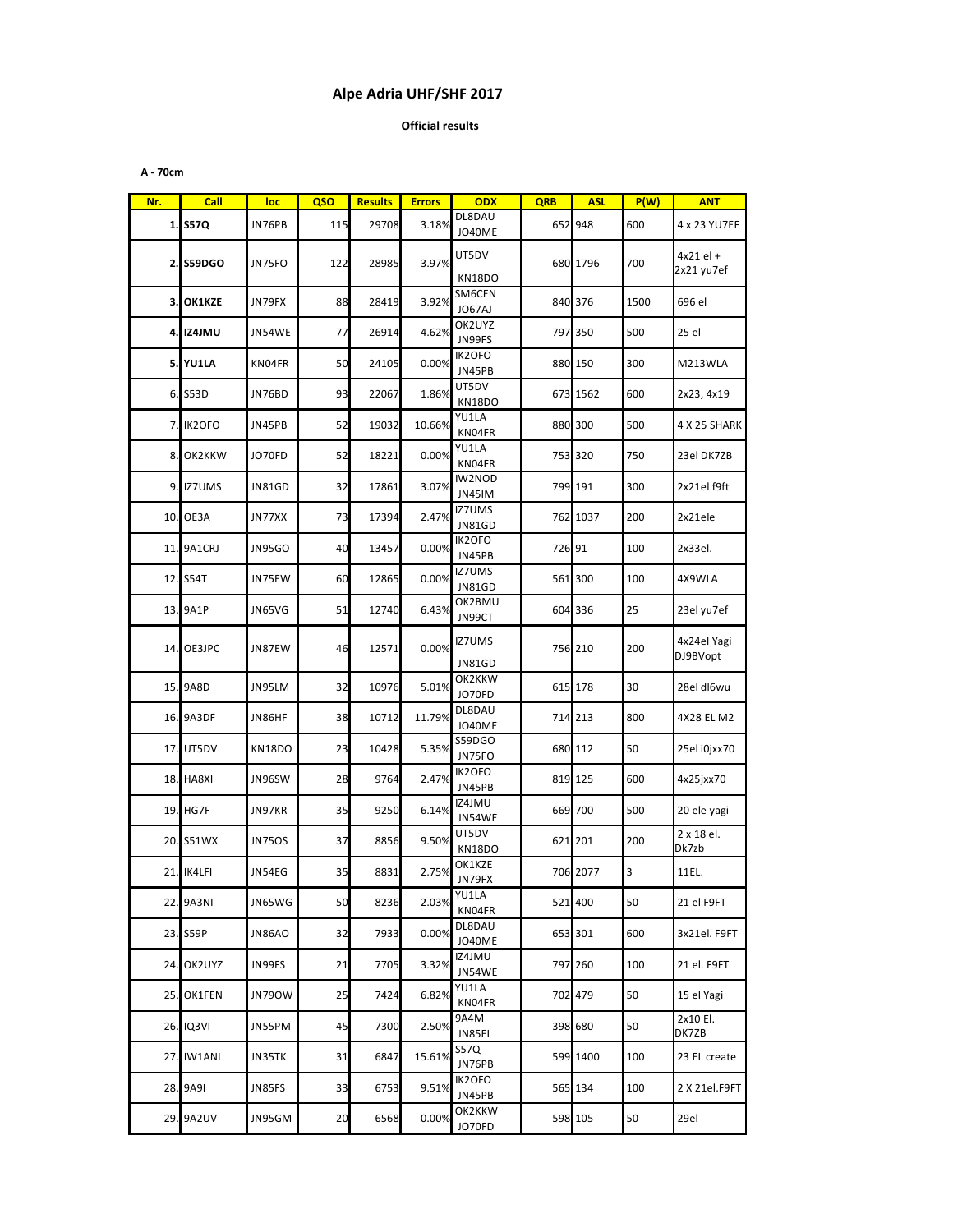## Alpe Adria UHF/SHF 2017

**Official results** 

A - 70cm

| Nr. | <b>Call</b>      | loc           | QSO | <b>Results</b> | <b>Errors</b> | <b>ODX</b>                     | <b>QRB</b> | <b>ASL</b> | P(W) | <b>ANT</b>                |
|-----|------------------|---------------|-----|----------------|---------------|--------------------------------|------------|------------|------|---------------------------|
|     | 1. S57Q          | JN76PB        | 115 | 29708          | 3.18%         | DL8DAU<br><b>JO40ME</b>        |            | 652 948    | 600  | 4 x 23 YU7EF              |
|     | 2. S59DGO        | JN75FO        | 122 | 28985          | 3.97%         | UT5DV<br><b>KN18DO</b>         |            | 680 1796   | 700  | $4x21$ el +<br>2x21 yu7ef |
|     | 3. OK1KZE        | JN79FX        | 88  | 28419          | 3.92%         | SM6CEN<br>JO67AJ               |            | 840 376    | 1500 | 696 el                    |
|     | 4. IZ4JMU        | JN54WE        | 77  | 26914          | 4.62%         | OK2UYZ<br>JN99FS               |            | 797 350    | 500  | 25 el                     |
|     | <b>5. YU1LA</b>  | KN04FR        | 50  | 24105          | 0.00%         | IK2OFO<br>JN45PB               |            | 880 150    | 300  | M213WLA                   |
|     | 6. S53D          | JN76BD        | 93  | 22067          | 1.86%         | UT5DV<br>KN18DO                |            | 673 1562   | 600  | 2x23, 4x19                |
|     | 7. IK20FO        | JN45PB        | 52  | 19032          | 10.66%        | YU1LA<br>KN04FR                |            | 880 300    | 500  | 4 X 25 SHARK              |
| 8.  | OK2KKW           | JO70FD        | 52  | 18221          | 0.00%         | YU1LA<br>KN04FR                |            | 753 320    | 750  | 23el DK7ZB                |
| 9.1 | <b>IZ7UMS</b>    | JN81GD        | 32  | 17861          | 3.07%         | IW2NOD<br>JN45IM               |            | 799 191    | 300  | 2x21el f9ft               |
|     | 10. OE3A         | JN77XX        | 73  | 17394          | 2.47%         | <b>IZ7UMS</b><br><b>JN81GD</b> |            | 762 1037   | 200  | 2x21ele                   |
|     | 11. 9A1CRJ       | <b>JN95GO</b> | 40  | 13457          | 0.00%         | IK2OFO<br>JN45PB               | 726 91     |            | 100  | 2x33el.                   |
|     | 12. S54T         | JN75EW        | 60  | 12865          | 0.00%         | <b>IZ7UMS</b><br><b>JN81GD</b> |            | 561 300    | 100  | 4X9WLA                    |
|     | 13. 9A1P         | JN65VG        | 51  | 12740          | 6.43%         | OK2BMU<br>JN99CT               |            | 604 336    | 25   | 23el yu7ef                |
|     | 14. OE3JPC       | JN87EW        | 46  | 12571          | 0.00%         | <b>IZ7UMS</b><br><b>JN81GD</b> |            | 756 210    | 200  | 4x24el Yagi<br>DJ9BVopt   |
|     | 15. 9A8D         | JN95LM        | 32  | 10976          | 5.01%         | OK2KKW<br>JO70FD               |            | 615 178    | 30   | 28el dl6wu                |
|     | 16. 9A3DF        | JN86HF        | 38  | 10712          | 11.79%        | DL8DAU<br>JO40ME               |            | 714 213    | 800  | 4X28 EL M2                |
| 17. | UT5DV            | <b>KN18DO</b> | 23  | 10428          | 5.35%         | S59DGO<br>JN75FO               |            | 680 112    | 50   | 25el i0jxx70              |
|     | <b>18. HA8XI</b> | JN96SW        | 28  | 9764           | 2.47%         | IK2OFO<br>JN45PB               |            | 819 125    | 600  | 4x25jxx70                 |
|     | 19. HG7F         | JN97KR        | 35  | 9250           | 6.14%         | IZ4JMU<br>JN54WE               |            | 669 700    | 500  | 20 ele yagi               |
|     | 20. S51WX        | <b>JN75OS</b> | 37  | 8856           | 9.50%         | UT5DV<br><b>KN18DO</b>         |            | 621 201    | 200  | 2 x 18 el.<br>Dk7zb       |
|     | 21. IK4LFI       | JN54EG        | 35  | 8831           | 2.75%         | OK1KZE<br>JN79FX               |            | 706 2077   | 3    | 11EL.                     |
|     | 22. 9A3NI        | JN65WG        | 50  | 8236           | 2.03%         | YU1LA<br>KN04FR                |            | 521 400    | 50   | 21 el F9FT                |
|     | 23. S59P         | JN86AO        | 32  | 7933           | 0.00%         | DL8DAU<br><b>JO40ME</b>        |            | 653 301    | 600  | 3x21el. F9FT              |
|     | 24. OK2UYZ       | JN99FS        | 21  | 7705           | 3.32%         | IZ4JMU<br>JN54WE               |            | 797 260    | 100  | 21 el. F9FT               |
|     | 25. OK1FEN       | <b>JN790W</b> | 25  | 7424           | 6.82%         | YU1LA<br>KN04FR                |            | 702 479    | 50   | 15 el Yagi                |
|     | 26. IQ3VI        | JN55PM        | 45  | 7300           | 2.50%         | 9A4M<br>JN85EI                 |            | 398 680    | 50   | 2x10 El.<br>DK7ZB         |
|     | 27. IW1ANL       | JN35TK        | 31  | 6847           | 15.61%        | S57Q<br>JN76PB                 |            | 599 1400   | 100  | 23 EL create              |
|     | 28. 9A9I         | JN85FS        | 33  | 6753           | 9.51%         | IK2OFO<br>JN45PB               |            | 565 134    | 100  | 2 X 21el.F9FT             |
|     | 29. 9A2UV        | JN95GM        | 20  | 6568           | 0.00%         | OK2KKW<br>JO70FD               |            | 598 105    | 50   | 29el                      |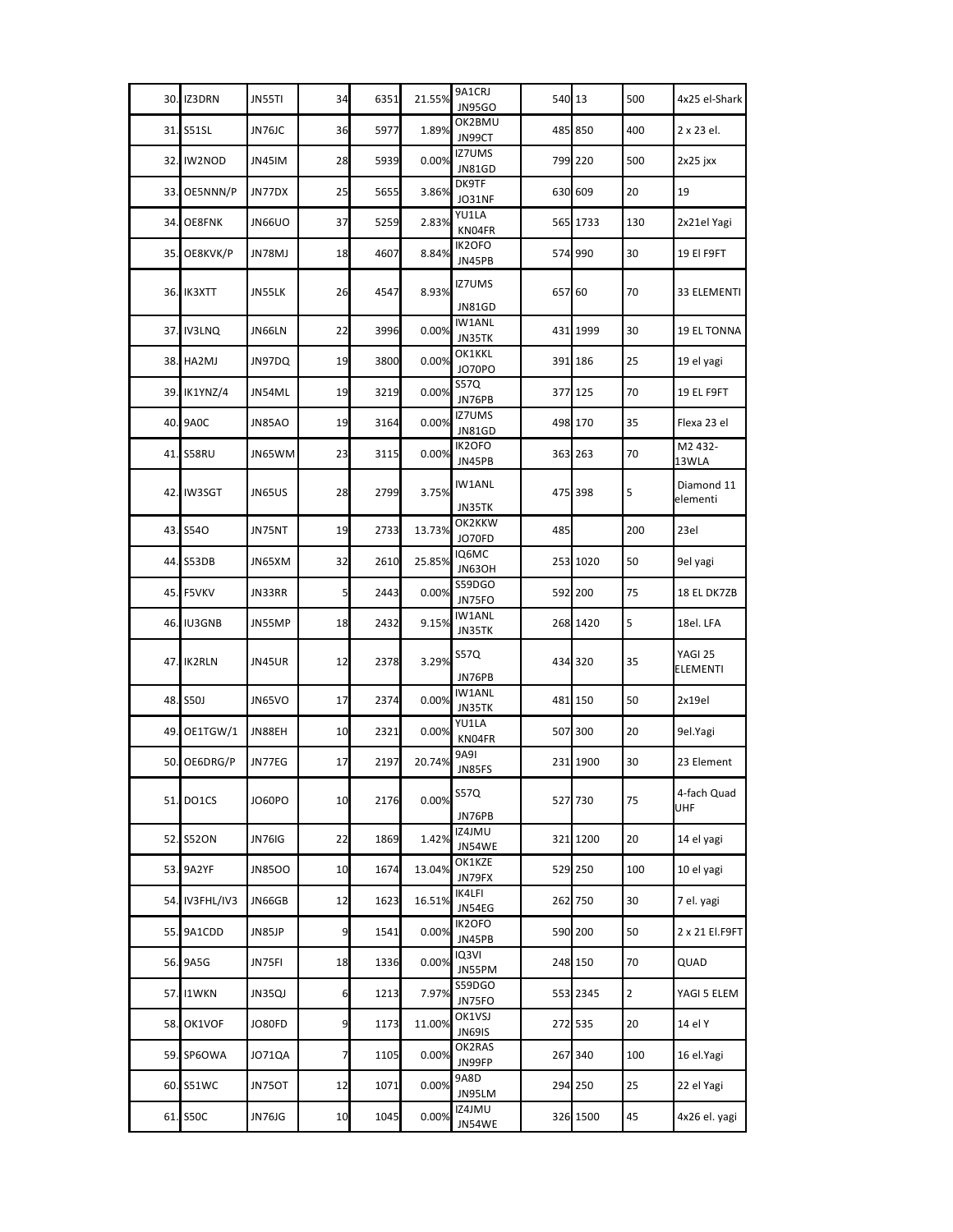|     | 30. IZ3DRN        | JN55TI        | 34             | 6351 | 21.55% | 9A1CRJ<br><b>JN95GO</b>        | 540 13 |          | 500            | 4x25 el-Shark              |
|-----|-------------------|---------------|----------------|------|--------|--------------------------------|--------|----------|----------------|----------------------------|
|     | 31. S51SL         | JN76JC        | 36             | 5977 | 1.89%  | OK2BMU<br>JN99CT               |        | 485 850  | 400            | 2 x 23 el.                 |
| 32. | IW2NOD            | JN45IM        | 28             | 5939 | 0.00%  | <b>IZ7UMS</b><br><b>JN81GD</b> |        | 799 220  | 500            | 2x25 jxx                   |
| 33. | OE5NNN/P          | JN77DX        | 25             | 5655 | 3.86%  | DK9TF<br>JO31NF                |        | 630 609  | 20             | 19                         |
|     | 34. OE8FNK        | <b>JN66UO</b> | 37             | 5259 | 2.83%  | YU1LA<br>KN04FR                |        | 565 1733 | 130            | 2x21el Yagi                |
| 35. | OE8KVK/P          | JN78MJ        | 18             | 4607 | 8.84%  | IK2OFO<br>JN45PB               |        | 574 990  | 30             | 19 El F9FT                 |
|     | 36. IK3XTT        | JN55LK        | 26             | 4547 | 8.93%  | <b>IZ7UMS</b><br><b>JN81GD</b> | 657 60 |          | 70             | 33 ELEMENTI                |
| 37. | <b>IV3LNQ</b>     | JN66LN        | 22             | 3996 | 0.00%  | <b>IW1ANL</b><br>JN35TK        |        | 431 1999 | 30             | <b>19 EL TONNA</b>         |
|     | 38. HA2MJ         | JN97DQ        | 19             | 3800 | 0.00%  | OK1KKL<br><b>JO70PO</b>        |        | 391 186  | 25             | 19 el yagi                 |
|     | 39. IK1YNZ/4      | JN54ML        | 19             | 3219 | 0.00%  | S57Q<br>JN76PB                 |        | 377 125  | 70             | 19 EL F9FT                 |
| 40. | 9A <sub>0</sub> C | <b>JN85AO</b> | 19             | 3164 | 0.00%  | IZ7UMS<br>JN81GD               |        | 498 170  | 35             | Flexa 23 el                |
|     | 41. S58RU         | JN65WM        | 23             | 3115 | 0.00%  | IK2OFO<br>JN45PB               |        | 363 263  | 70             | M2 432-<br>13WLA           |
|     | 42. IW3SGT        | JN65US        | 28             | 2799 | 3.75%  | <b>IW1ANL</b><br>JN35TK        |        | 475 398  | 5              | Diamond 11<br>elementi     |
|     | 43. S540          | JN75NT        | 19             | 2733 | 13.73% | OK2KKW<br>JO70FD               | 485    |          | 200            | 23el                       |
|     | 44. S53DB         | JN65XM        | 32             | 2610 | 25.85% | IQ6MC<br><b>JN63OH</b>         |        | 253 1020 | 50             | 9el yagi                   |
|     | 45. F5VKV         | JN33RR        | 5 <sub>l</sub> | 2443 | 0.00%  | S59DGO<br>JN75FO               |        | 592 200  | 75             | 18 EL DK7ZB                |
|     | 46. IU3GNB        | JN55MP        | 18             | 2432 | 9.15%  | <b>IW1ANL</b><br>JN35TK        |        | 268 1420 | 5              | 18el. LFA                  |
|     | 47. IK2RLN        | JN45UR        | 12             | 2378 | 3.29%  | S57Q<br>JN76PB                 |        | 434 320  | 35             | YAGI 25<br><b>ELEMENTI</b> |
|     | 48. S50J          | <b>JN65VO</b> | 17             | 2374 | 0.00%  | <b>IW1ANL</b><br>JN35TK        |        | 481 150  | 50             | 2x19el                     |
| 49. | OE1TGW/1          | JN88EH        | 10             | 2321 | 0.00%  | YU1LA<br>KN04FR                |        | 507 300  | 20             | 9el.Yagi                   |
|     | 50. OE6DRG/P      | JN77EG        | 17             | 2197 | 20.74% | 9A91<br>JN85FS                 |        | 231 1900 | 30             | 23 Element                 |
|     | 51. DO1CS         | JO60PO        | 10             | 2176 | 0.00%  | S57Q<br>JN76PB                 |        | 527 730  | 75             | 4-fach Quad<br>UHF         |
|     | 52. S52ON         | JN76IG        | 22             | 1869 | 1.42%  | IZ4JMU<br>JN54WE               |        | 321 1200 | 20             | 14 el yagi                 |
|     | 53. 9A2YF         | <b>JN85OO</b> | 10             | 1674 | 13.04% | OK1KZE<br>JN79FX               |        | 529 250  | 100            | 10 el yagi                 |
|     | 54. IV3FHL/IV3    | JN66GB        | 12             | 1623 | 16.51% | IK4LFI<br>JN54EG               |        | 262 750  | 30             | 7 el. yagi                 |
|     | 55. 9A1CDD        | JN85JP        | 9              | 1541 | 0.00%  | IK2OFO<br>JN45PB               |        | 590 200  | 50             | 2 x 21 El.F9FT             |
|     | 56. 9A5G          | JN75FI        | 18             | 1336 | 0.00%  | IQ3VI<br>JN55PM                |        | 248 150  | 70             | QUAD                       |
|     | 57. I1WKN         | JN35QJ        | 6              | 1213 | 7.97%  | S59DGO<br>JN75FO               |        | 553 2345 | $\overline{2}$ | YAGI 5 ELEM                |
|     | 58. OK1VOF        | JO80FD        | 9              | 1173 | 11.00% | OK1VSJ<br><b>JN69IS</b>        |        | 272 535  | 20             | 14 el Y                    |
|     | 59. SP6OWA        | JO71QA        | 7              | 1105 | 0.00%  | OK2RAS<br>JN99FP               |        | 267 340  | 100            | 16 el.Yagi                 |
|     | 60. S51WC         | JN75OT        | 12             | 1071 | 0.00%  | 9A8D<br>JN95LM                 |        | 294 250  | 25             | 22 el Yagi                 |
|     | 61. S50C          | JN76JG        | 10             | 1045 | 0.00%  | IZ4JMU<br>JN54WE               |        | 326 1500 | 45             | 4x26 el. yagi              |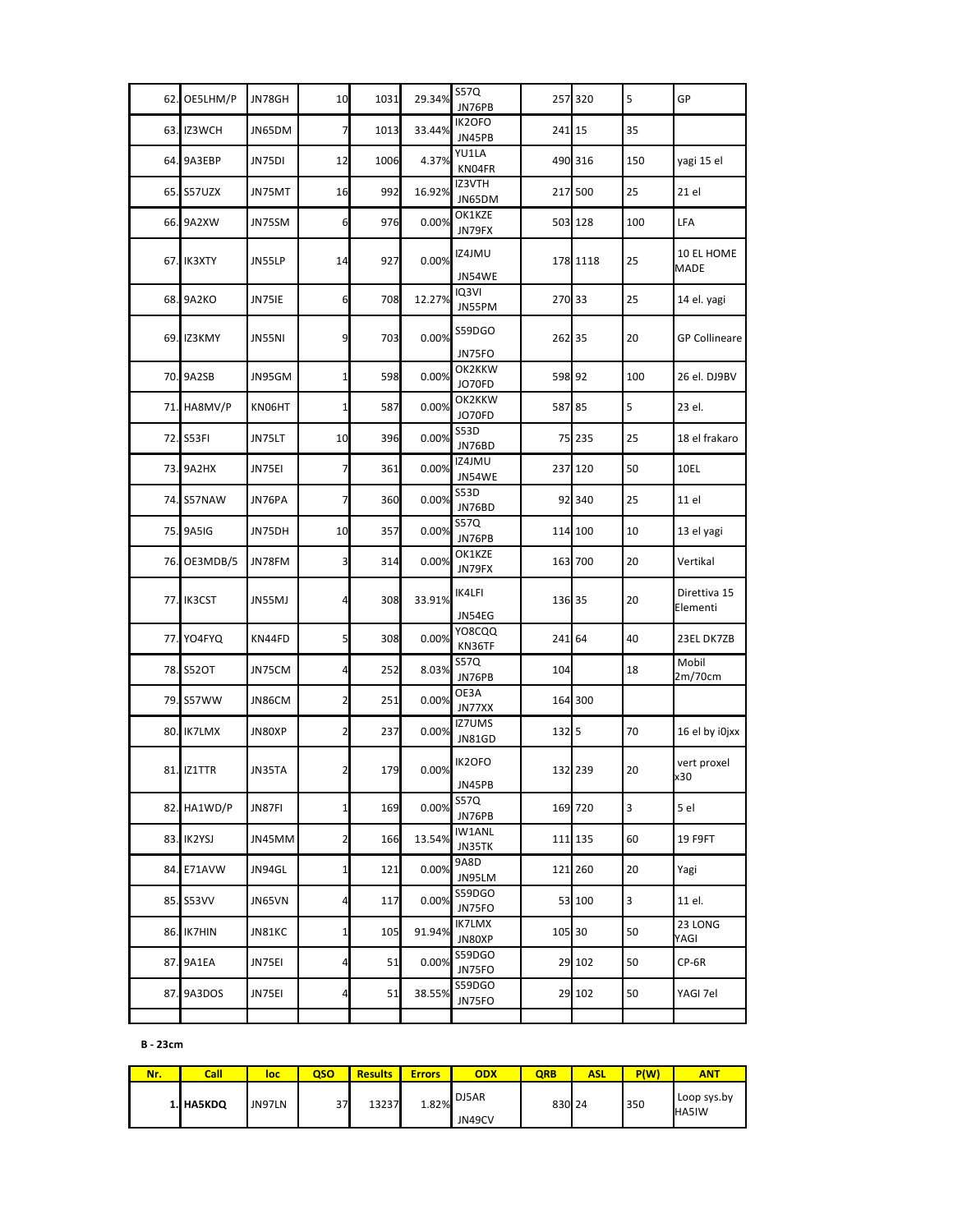| 62.        | OE5LHM/P    | JN78GH | 10              | 1031 | 29.34% | <b>S57Q</b><br>JN76PB          |        | 257 320  | 5                       | GP                        |
|------------|-------------|--------|-----------------|------|--------|--------------------------------|--------|----------|-------------------------|---------------------------|
| 63.        | IZ3WCH      | JN65DM | 7               | 1013 | 33.44% | IK2OFO<br>JN45PB               | 241 15 |          | 35                      |                           |
| 64.        | 9A3EBP      | JN75DI | 12              | 1006 | 4.37%  | YU1LA<br>KN04FR                |        | 490 316  | 150                     | yagi 15 el                |
| 65.        | S57UZX      | JN75MT | 16              | 992  | 16.92% | IZ3VTH<br>JN65DM               |        | 217 500  | 25                      | 21 el                     |
|            | 66. 9A2XW   | JN75SM | 6               | 976  | 0.00%  | OK1KZE<br>JN79FX               |        | 503 128  | 100                     | LFA                       |
|            | 67. IK3XTY  | JN55LP | 14              | 927  | 0.00%  | IZ4JMU<br>JN54WE               |        | 178 1118 | 25                      | 10 EL HOME<br><b>MADE</b> |
| 68.        | 9A2KO       | JN75IE | 6               | 708  | 12.27% | IQ3VI<br>JN55PM                | 270 33 |          | 25                      | 14 el. yagi               |
| 69.        | IZ3KMY      | JN55NI | 9               | 703  | 0.00%  | S59DGO<br>JN75FO               | 262 35 |          | 20                      | <b>GP Collineare</b>      |
|            | 70. 9A2SB   | JN95GM | $1\overline{ }$ | 598  | 0.00%  | OK2KKW<br>JO70FD               | 598 92 |          | 100                     | 26 el. DJ9BV              |
| 71.        | HA8MV/P     | KN06HT | $1\overline{1}$ | 587  | 0.00%  | OK2KKW<br>JO70FD               | 587 85 |          | 5                       | 23 el.                    |
| 72.        | S53FI       | JN75LT | 10              | 396  | 0.00%  | <b>S53D</b><br>JN76BD          |        | 75 235   | 25                      | 18 el frakaro             |
| <b>73.</b> | 9A2HX       | JN75EI | 7               | 361  | 0.00%  | IZ4JMU<br>JN54WE               |        | 237 120  | 50                      | 10EL                      |
|            | 74. S57NAW  | JN76PA | $\overline{7}$  | 360  | 0.00%  | S53D<br>JN76BD                 |        | 92 340   | 25                      | 11 el                     |
| 75.        | 9A5IG       | JN75DH | 10              | 357  | 0.00%  | S57Q<br>JN76PB                 |        | 114 100  | 10                      | 13 el yagi                |
| 76.        | OE3MDB/5    | JN78FM | 3               | 314  | 0.00%  | OK1KZE<br>JN79FX               |        | 163 700  | 20                      | Vertikal                  |
| 77.        | IK3CST      | JN55MJ | 4               | 308  | 33.91% | IK4LFI<br>JN54EG               | 136 35 |          | 20                      | Direttiva 15<br>Elementi  |
| 77.        | YO4FYQ      | KN44FD | 5 <sub>l</sub>  | 308  | 0.00%  | YO8CQQ<br>KN36TF               | 241 64 |          | 40                      | 23EL DK7ZB                |
|            | 78. S52OT   | JN75CM | 4               | 252  | 8.03%  | S57Q<br>JN76PB                 | 104    |          | 18                      | Mobil<br>2m/70cm          |
| 79.        | S57WW       | JN86CM | $\overline{2}$  | 251  | 0.00%  | OE3A<br>JN77XX                 |        | 164 300  |                         |                           |
| 80.        | IK7LMX      | JN80XP | $\overline{2}$  | 237  | 0.00%  | <b>IZ7UMS</b><br><b>JN81GD</b> | 132 5  |          | 70                      | 16 el by i0jxx            |
|            | 81. IZ1TTR  | JN35TA | $\overline{2}$  | 179  | 0.00%  | IK2OFO<br>JN45PB               |        | 132 239  | 20                      | vert proxel<br>x30        |
|            | 82. HA1WD/P | JN87FI | $\mathbf{1}$    | 169  | 0.00%  | S57Q<br>JN76PB                 |        | 169 720  | $\overline{\mathbf{3}}$ | 5 el                      |
|            | 83. IK2YSJ  | JN45MM | $\overline{2}$  | 166  | 13.54% | IW1ANL<br>JN35TK               |        | 111 135  | 60                      | 19 F9FT                   |
|            | 84. E71AVW  | JN94GL | $1\overline{1}$ | 121  | 0.00%  | 9A8D<br>JN95LM                 |        | 121 260  | 20                      | Yagi                      |
|            | 85. S53VV   | JN65VN | $\overline{a}$  | 117  | 0.00%  | S59DGO<br>JN75FO               |        | 53 100   | 3                       | 11 el.                    |
|            | 86. IK7HIN  | JN81KC | $1\overline{1}$ | 105  | 91.94% | IK7LMX<br>JN80XP               | 105 30 |          | 50                      | 23 LONG<br>YAGI           |
|            | 87. 9A1EA   | JN75EI | 4               | 51   | 0.00%  | S59DGO<br>JN75FO               |        | 29 102   | 50                      | CP-6R                     |
|            | 87. 9A3DOS  | JN75EI | 4               | 51   | 38.55% | S59DGO<br>JN75FO               |        | 29 102   | 50                      | YAGI 7el                  |
|            |             |        |                 |      |        |                                |        |          |                         |                           |

**B** - 23cm

| Nr. | Call      | loc    | oso | <b>Results</b> | <b>Errors</b> | <b>ODX</b>      | <b>QRB</b> | ASL | P(W) | <b>ANT</b>                  |
|-----|-----------|--------|-----|----------------|---------------|-----------------|------------|-----|------|-----------------------------|
|     | 1. HA5KDQ | JN97LN | 37  | 13237          | 1.82%         | DJ5AR<br>JN49CV | 830 24     |     | 350  | Loop sys.by<br><b>HA5IW</b> |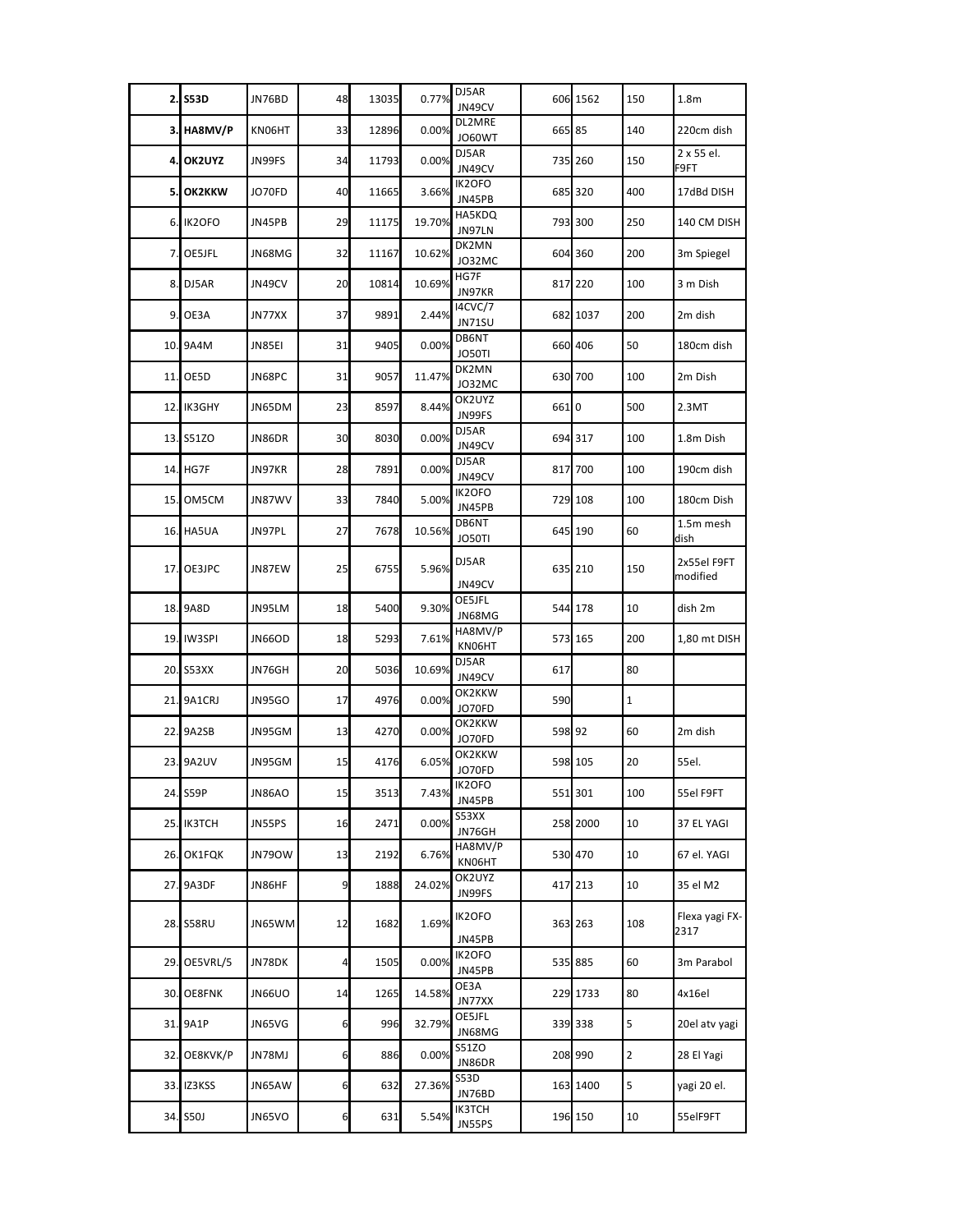|     | 2. S53D           | JN76BD        | 48             | 13035 | 0.77%  | DJ5AR<br>JN49CV          |        | 606 1562 | 150            | 1.8 <sub>m</sub>        |
|-----|-------------------|---------------|----------------|-------|--------|--------------------------|--------|----------|----------------|-------------------------|
|     | 3. HA8MV/P        | KN06HT        | 33             | 12896 | 0.00%  | DL2MRE<br><b>JO60WT</b>  | 665 85 |          | 140            | 220cm dish              |
| 4.  | OK2UYZ            | JN99FS        | 34             | 11793 | 0.00%  | DJ5AR<br>JN49CV          |        | 735 260  | 150            | 2 x 55 el.<br>F9FT      |
|     | 5. OK2KKW         | JO70FD        | 40             | 11665 | 3.66%  | IK2OFO<br>JN45PB         |        | 685 320  | 400            | 17dBd DISH              |
|     | 6. IK2OFO         | JN45PB        | 29             | 11175 | 19.70% | HA5KDQ<br>JN97LN         |        | 793 300  | 250            | 140 CM DISH             |
| 7.  | OE5JFL            | JN68MG        | 32             | 11167 | 10.62% | DK2MN<br>JO32MC          |        | 604 360  | 200            | 3m Spiegel              |
| 8.  | DJ5AR             | JN49CV        | 20             | 10814 | 10.69% | HG7F<br>JN97KR           |        | 817 220  | 100            | 3 m Dish                |
| 9.  | OE3A              | JN77XX        | 37             | 9891  | 2.44%  | <b>I4CVC/7</b><br>JN71SU |        | 682 1037 | 200            | 2m dish                 |
| 10. | 9A4M              | JN85EI        | 31             | 9405  | 0.00%  | DB6NT<br>JO50TI          |        | 660 406  | 50             | 180cm dish              |
| 11. | OE5D              | JN68PC        | 31             | 9057  | 11.47% | DK2MN<br>JO32MC          |        | 630 700  | 100            | 2m Dish                 |
|     | <b>12. IK3GHY</b> | JN65DM        | 23             | 8597  | 8.44%  | OK2UYZ<br>JN99FS         | 6610   |          | 500            | 2.3MT                   |
|     | 13. S51ZO         | JN86DR        | 30             | 8030  | 0.00%  | DJ5AR<br>JN49CV          |        | 694 317  | 100            | 1.8m Dish               |
|     | 14. HG7F          | JN97KR        | 28             | 7891  | 0.00%  | DJ5AR<br>JN49CV          |        | 817 700  | 100            | 190cm dish              |
|     | 15. OM5CM         | JN87WV        | 33             | 7840  | 5.00%  | IK2OFO<br>JN45PB         |        | 729 108  | 100            | 180cm Dish              |
|     | <b>16. HA5UA</b>  | JN97PL        | 27             | 7678  | 10.56% | DB6NT<br>JO50TI          |        | 645 190  | 60             | 1.5m mesh<br>dish       |
| 17. | OE3JPC            | JN87EW        | 25             | 6755  | 5.96%  | DJ5AR<br>JN49CV          |        | 635 210  | 150            | 2x55el F9FT<br>modified |
|     | 18. 9A8D          | JN95LM        | 18             | 5400  | 9.30%  | OE5JFL<br>JN68MG         |        | 544 178  | 10             | dish 2m                 |
| 19. | <b>IW3SPI</b>     | <b>JN66OD</b> | 18             | 5293  | 7.61%  | HA8MV/P<br>KN06HT        |        | 573 165  | 200            | 1,80 mt DISH            |
|     | 20. S53XX         | JN76GH        | 20             | 5036  | 10.69% | DJ5AR<br>JN49CV          | 617    |          | 80             |                         |
| 21. | 9A1CRJ            | JN95GO        | 17             | 4976  | 0.00%  | OK2KKW<br>JO70FD         | 590    |          | $\mathbf{1}$   |                         |
|     | 22. 9A2SB         | JN95GM        | 13             | 4270  | 0.00%  | OK2KKW<br>JO70FD         | 598 92 |          | 60             | 2m dish                 |
|     | 23. 9A2UV         | JN95GM        | 15             | 4176  | 6.05%  | OK2KKW<br>JO70FD         |        | 598 105  | 20             | 55el.                   |
|     | 24. S59P          | JN86AO        | 15             | 3513  | 7.43%  | IK2OFO<br>JN45PB         |        | 551 301  | 100            | 55el F9FT               |
|     | 25. IK3TCH        | JN55PS        | 16             | 2471  | 0.00%  | S53XX<br>JN76GH          |        | 258 2000 | 10             | 37 EL YAGI              |
|     | 26. OK1FQK        | <b>JN790W</b> | 13             | 2192  | 6.76%  | HA8MV/P<br>KN06HT        |        | 530 470  | 10             | 67 el. YAGI             |
|     | 27. 9A3DF         | JN86HF        | 9              | 1888  | 24.02% | OK2UYZ<br>JN99FS         |        | 417 213  | 10             | 35 el M2                |
|     | 28. S58RU         | JN65WM        | 12             | 1682  | 1.69%  | IK2OFO<br>JN45PB         |        | 363 263  | 108            | Flexa yagi FX-<br>2317  |
|     | 29. OE5VRL/5      | JN78DK        | $\overline{a}$ | 1505  | 0.00%  | IK2OFO<br>JN45PB         |        | 535 885  | 60             | 3m Parabol              |
| 30. | OE8FNK            | <b>JN66UO</b> | 14             | 1265  | 14.58% | OE3A<br>JN77XX           |        | 229 1733 | 80             | 4x16el                  |
|     | 31. 9A1P          | JN65VG        | 6              | 996   | 32.79% | OE5JFL<br>JN68MG         |        | 339 338  | 5              | 20el atv yagi           |
| 32. | OE8KVK/P          | JN78MJ        | 6              | 886   | 0.00%  | S51ZO<br>JN86DR          |        | 208 990  | $\overline{2}$ | 28 El Yagi              |
| 33. | IZ3KSS            | JN65AW        | 6              | 632   | 27.36% | S53D<br>JN76BD           |        | 163 1400 | 5              | yagi 20 el.             |
|     | 34. S50J          | JN65VO        | 6              | 631   | 5.54%  | IK3TCH<br>JN55PS         |        | 196 150  | 10             | 55elF9FT                |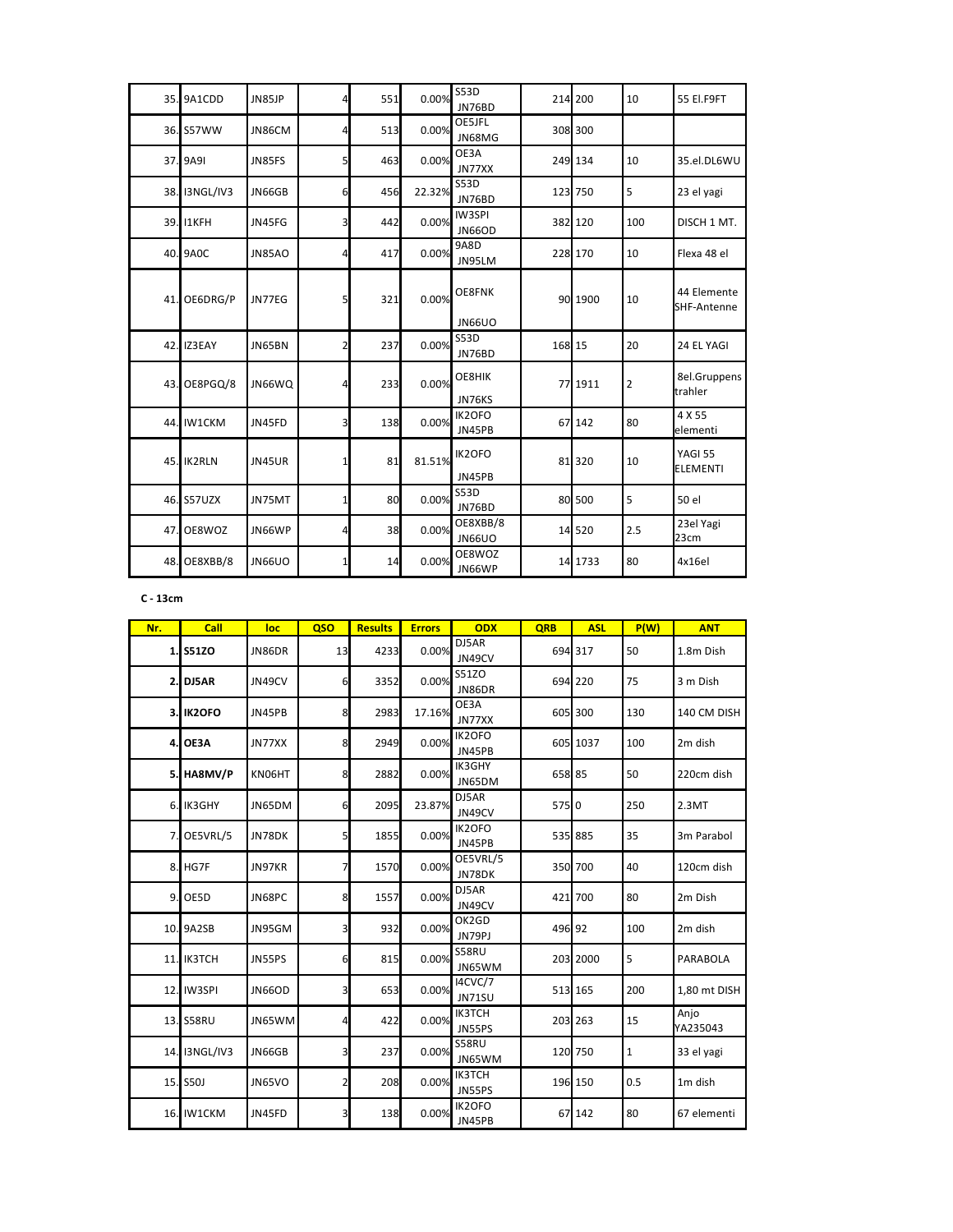|     | 35. 9A1CDD    | JN85JP        | 4              | 551 | 0.00%  | <b>S53D</b><br>JN76BD     |        | 214 200 | 10             | 55 El.F9FT                 |
|-----|---------------|---------------|----------------|-----|--------|---------------------------|--------|---------|----------------|----------------------------|
|     | 36. S57WW     | JN86CM        | 4              | 513 | 0.00%  | OE5JFL<br>JN68MG          |        | 308 300 |                |                            |
|     | 37. 9A9I      | JN85FS        | 5              | 463 | 0.00%  | OE3A<br>JN77XX            |        | 249 134 | 10             | 35.el.DL6WU                |
|     | 38. I3NGL/IV3 | JN66GB        | 6              | 456 | 22.32% | <b>S53D</b><br>JN76BD     |        | 123 750 | 5              | 23 el yagi                 |
|     | 39. I1KFH     | JN45FG        | 3              | 442 | 0.00%  | IW3SPI<br><b>JN66OD</b>   |        | 382 120 | 100            | DISCH 1 MT.                |
|     | 40. 9A0C      | <b>JN85AO</b> | 4              | 417 | 0.00%  | 9A8D<br>JN95LM            |        | 228 170 | 10             | Flexa 48 el                |
| 41. | OE6DRG/P      | JN77EG        | 5              | 321 | 0.00%  | OE8FNK<br><b>JN66UO</b>   |        | 90 1900 | 10             | 44 Elemente<br>SHF-Antenne |
|     | 42. IZ3EAY    | JN65BN        | $\overline{2}$ | 237 | 0.00%  | <b>S53D</b><br>JN76BD     | 168 15 |         | 20             | 24 EL YAGI                 |
| 43. | OE8PGQ/8      | JN66WQ        | Δ              | 233 | 0.00%  | OE8HIK<br>JN76KS          |        | 77 1911 | $\overline{2}$ | 8el.Gruppens<br>trahler    |
|     | 44. IW1CKM    | JN45FD        | 3              | 138 | 0.00%  | IK2OFO<br>JN45PB          |        | 67 142  | 80             | 4 X 55<br>elementi         |
|     | 45. IK2RLN    | JN45UR        | 1              | 81  | 81.51% | IK2OFO<br>JN45PB          |        | 81 320  | 10             | YAGI 55<br><b>ELEMENTI</b> |
|     | 46. S57UZX    | JN75MT        | $1\vert$       | 80  | 0.00%  | <b>S53D</b><br>JN76BD     |        | 80 500  | 5              | 50 el                      |
| 47. | OE8WOZ        | JN66WP        | 4              | 38  | 0.00%  | OE8XBB/8<br><b>JN66UO</b> |        | 14 5 20 | 2.5            | 23el Yagi<br>23cm          |
| 48. | OE8XBB/8      | <b>JN66UO</b> | 1              | 14  | 0.00%  | OE8WOZ<br>JN66WP          |        | 14 1733 | 80             | 4x16el                     |

C - 13cm

| Nr. | Call              | loc           | <b>QSO</b>              | <b>Results</b> | <b>Errors</b> | <b>ODX</b>               | <b>QRB</b> | <b>ASL</b> | P(W)        | <b>ANT</b>       |
|-----|-------------------|---------------|-------------------------|----------------|---------------|--------------------------|------------|------------|-------------|------------------|
|     | 1. S51ZO          | JN86DR        | 13                      | 4233           | 0.00%         | DJ5AR<br>JN49CV          |            | 694 317    | 50          | 1.8m Dish        |
|     | 2. DJ5AR          | JN49CV        | 6                       | 3352           | 0.00%         | <b>S51ZO</b><br>JN86DR   |            | 694 220    | 75          | 3 m Dish         |
|     | <b>3. IK2OFO</b>  | JN45PB        | 8                       | 2983           | 17.16%        | OE3A<br>JN77XX           |            | 605 300    | 130         | 140 CM DISH      |
|     | <b>4. OE3A</b>    | JN77XX        | 8                       | 2949           | 0.00%         | IK2OFO<br>JN45PB         |            | 605 1037   | 100         | 2m dish          |
|     | 5. HA8MV/P        | KN06HT        | 8                       | 2882           | 0.00%         | IK3GHY<br>JN65DM         | 658 85     |            | 50          | 220cm dish       |
|     | 6. IK3GHY         | JN65DM        | 6                       | 2095           | 23.87%        | DJ5AR<br>JN49CV          | 575 0      |            | 250         | 2.3MT            |
| 7.  | OE5VRL/5          | JN78DK        | 5                       | 1855           | 0.00%         | IK2OFO<br>JN45PB         |            | 535 885    | 35          | 3m Parabol       |
| 8.  | HG7F              | JN97KR        | 7                       | 1570           | 0.00%         | OE5VRL/5<br>JN78DK       |            | 350 700    | 40          | 120cm dish       |
| 9.  | OE5D              | JN68PC        | 8                       | 1557           | 0.00%         | DJ5AR<br>JN49CV          |            | 421 700    | 80          | 2m Dish          |
|     | 10. 9A2SB         | JN95GM        | 3                       | 932            | 0.00%         | OK2GD<br>JN79PJ          | 496 92     |            | 100         | 2m dish          |
|     | <b>11. IK3TCH</b> | JN55PS        | 6                       | 815            | 0.00%         | S58RU<br>JN65WM          |            | 203 2000   | 5           | <b>PARABOLA</b>  |
|     | 12. IW3SPI        | <b>JN66OD</b> | $\overline{\mathbf{3}}$ | 653            | 0.00%         | I4CVC/7<br><b>JN71SU</b> |            | 513 165    | 200         | 1,80 mt DISH     |
|     | 13. S58RU         | JN65WM        | $\overline{4}$          | 422            | 0.00%         | <b>IK3TCH</b><br>JN55PS  |            | 203 263    | 15          | Anjo<br>YA235043 |
|     | 14. I3NGL/IV3     | <b>JN66GB</b> | 3                       | 237            | 0.00%         | S58RU<br>JN65WM          |            | 120 750    | $\mathbf 1$ | 33 el yagi       |
|     | 15. S50J          | <b>JN65VO</b> | $\overline{2}$          | 208            | 0.00%         | <b>IK3TCH</b><br>JN55PS  |            | 196 150    | 0.5         | 1m dish          |
|     | <b>16. IW1CKM</b> | JN45FD        | 3                       | 138            | 0.00%         | IK2OFO<br>JN45PB         |            | 67 142     | 80          | 67 elementi      |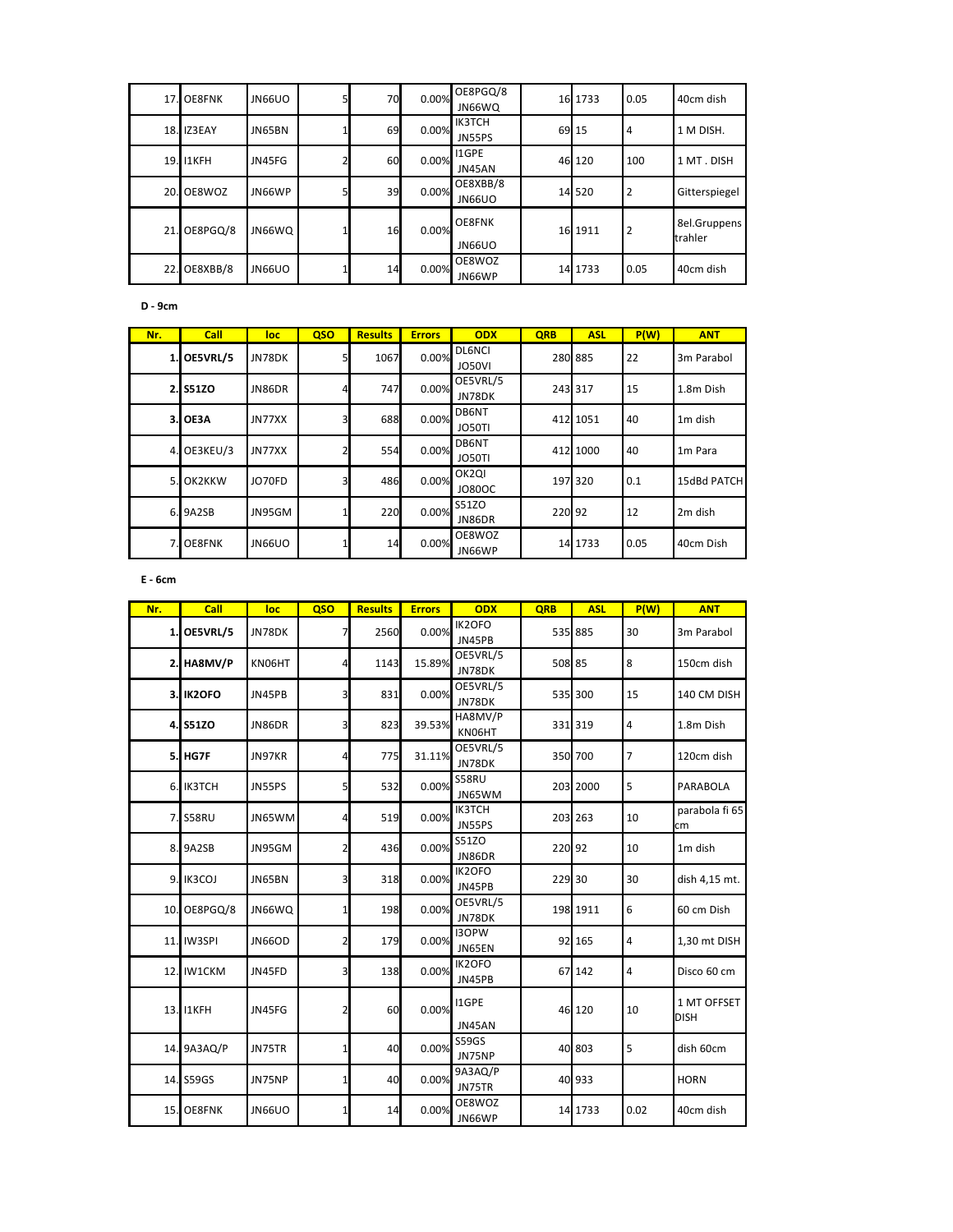|     | 17. OE8FNK | JN66UO        | 70I | 0.00% | OE8PGQ/8<br>JN66WQ        | 16 1733 | 0.05           | 40cm dish               |
|-----|------------|---------------|-----|-------|---------------------------|---------|----------------|-------------------------|
| 18. | IZ3EAY     | JN65BN        | 69  | 0.00% | <b>IK3TCH</b><br>JN55PS   | 69 15   | $\overline{4}$ | 1 M DISH.               |
| 19. | I1KFH      | JN45FG        | 60  | 0.00% | I1GPE<br>JN45AN           | 46 120  | 100            | 1 MT. DISH              |
|     | 20. OE8WOZ | JN66WP        | 39  | 0.00% | OE8XBB/8<br><b>JN66UO</b> | 14 520  | $\overline{2}$ | Gitterspiegel           |
| 21. | OE8PGQ/8   | JN66WQ        | 16  | 0.00% | <b>OE8FNK</b><br>JN66UO   | 16 1911 | $\overline{2}$ | 8el.Gruppens<br>trahler |
| 22. | OE8XBB/8   | <b>JN66UO</b> | 14  | 0.00% | OE8WOZ<br>JN66WP          | 14 1733 | 0.05           | 40cm dish               |

 **D - 9cm**

| Nr. | Call      | loc    | QSO | <b>Results</b> | <b>Errors</b> | <b>ODX</b>                          | <b>QRB</b> | <b>ASL</b> | P(W) | <b>ANT</b>          |
|-----|-----------|--------|-----|----------------|---------------|-------------------------------------|------------|------------|------|---------------------|
| 1.  | OE5VRL/5  | JN78DK | 5   | 1067           | 0.00%         | <b>DL6NCI</b><br>JO50VI             |            | 280 885    | 22   | 3m Parabol          |
|     | 2. S51ZO  | JN86DR |     | 747            | 0.00%         | OE5VRL/5<br>JN78DK                  |            | 243 317    | 15   | 1.8m Dish           |
| 3.I | OE3A      | JN77XX | 3   | 688            | 0.00%         | DB6NT<br><b>JO50TI</b>              |            | 412 1051   | 40   | 1 <sub>m</sub> dish |
| 4.1 | OE3KEU/3  | JN77XX |     | 554            | 0.00%         | DB6NT<br><b>JO50TI</b>              |            | 412 1000   | 40   | 1 <sub>m</sub> Para |
| 5.  | OK2KKW    | JO70FD | 3   | 486            | 0.00%         | OK <sub>2</sub> QI<br><b>JO80OC</b> |            | 197 320    | 0.1  | 15dBd PATCH         |
|     | 6.9A2SB   | JN95GM |     | 220            | 0.00%         | S51ZO<br>JN86DR                     | 220 92     |            | 12   | 2m dish             |
|     | 7. OE8FNK | JN66UO |     | 14             | 0.00%         | OE8WOZ<br>JN66WP                    |            | 14 1733    | 0.05 | 40cm Dish           |

 **E - 6cm**

| Nr. | Call             | loc           | QSO                     | <b>Results</b> | <b>Errors</b> | <b>ODX</b>              | QRB    | <b>ASL</b> | P(W)           | <b>ANT</b>                 |
|-----|------------------|---------------|-------------------------|----------------|---------------|-------------------------|--------|------------|----------------|----------------------------|
|     | 1. OE5VRL/5      | JN78DK        | 7                       | 2560           | 0.00%         | IK2OFO<br>JN45PB        |        | 535 885    | 30             | 3m Parabol                 |
|     | 2. HA8MV/P       | KN06HT        | $\overline{4}$          | 1143           | 15.89%        | OE5VRL/5<br>JN78DK      | 508 85 |            | 8              | 150cm dish                 |
|     | <b>3. IK2OFO</b> | JN45PB        | 3                       | 831            | 0.00%         | OE5VRL/5<br>JN78DK      |        | 535 300    | 15             | 140 CM DISH                |
|     | 4. S51ZO         | JN86DR        | $\overline{\mathbf{3}}$ | 823            | 39.53%        | HA8MV/P<br>KN06HT       |        | 331 319    | 4              | 1.8m Dish                  |
|     | <b>5. HG7F</b>   | JN97KR        | $\overline{4}$          | 775            | 31.11%        | OE5VRL/5<br>JN78DK      |        | 350 700    | $\overline{7}$ | 120cm dish                 |
|     | 6. IK3TCH        | JN55PS        | $5\overline{2}$         | 532            | 0.00%         | S58RU<br>JN65WM         |        | 203 2000   | 5              | PARABOLA                   |
|     | 7. S58RU         | JN65WM        | $\overline{4}$          | 519            | 0.00%         | <b>IK3TCH</b><br>JN55PS |        | 203 263    | 10             | parabola fi 65<br>cm       |
|     | 8.9A2SB          | JN95GM        | $\overline{2}$          | 436            | 0.00%         | S51ZO<br>JN86DR         | 220 92 |            | 10             | 1 <sub>m</sub> dish        |
|     | 9. IK3COJ        | JN65BN        | 3                       | 318            | 0.00%         | IK2OFO<br>JN45PB        | 229 30 |            | 30             | dish 4,15 mt.              |
| 10. | OE8PGQ/8         | JN66WQ        | $1\vert$                | 198            | 0.00%         | OE5VRL/5<br>JN78DK      |        | 198 1911   | 6              | 60 cm Dish                 |
|     | 11. IW3SPI       | <b>JN66OD</b> | $\overline{2}$          | 179            | 0.00%         | <b>I3OPW</b><br>JN65EN  |        | 92 165     | 4              | 1,30 mt DISH               |
| 12. | <b>IW1CKM</b>    | JN45FD        | 3                       | 138            | 0.00%         | IK2OFO<br>JN45PB        |        | 67 142     | 4              | Disco 60 cm                |
|     | 13. I1KFH        | JN45FG        | $\overline{2}$          | 60             | 0.00%         | I1GPE<br>JN45AN         |        | 46 120     | 10             | 1 MT OFFSET<br><b>DISH</b> |
|     | 14. 9A3AQ/P      | JN75TR        | $\mathbf{1}$            | 40             | 0.00%         | <b>S59GS</b><br>JN75NP  |        | 40 803     | 5              | dish 60cm                  |
|     | 14. S59GS        | JN75NP        | $\mathbf{1}$            | 40             | 0.00%         | 9A3AQ/P<br>JN75TR       |        | 40 933     |                | <b>HORN</b>                |
|     | 15. OE8FNK       | <b>JN66UO</b> | $1\vert$                | 14             | 0.00%         | OE8WOZ<br>JN66WP        |        | 14 1733    | 0.02           | 40cm dish                  |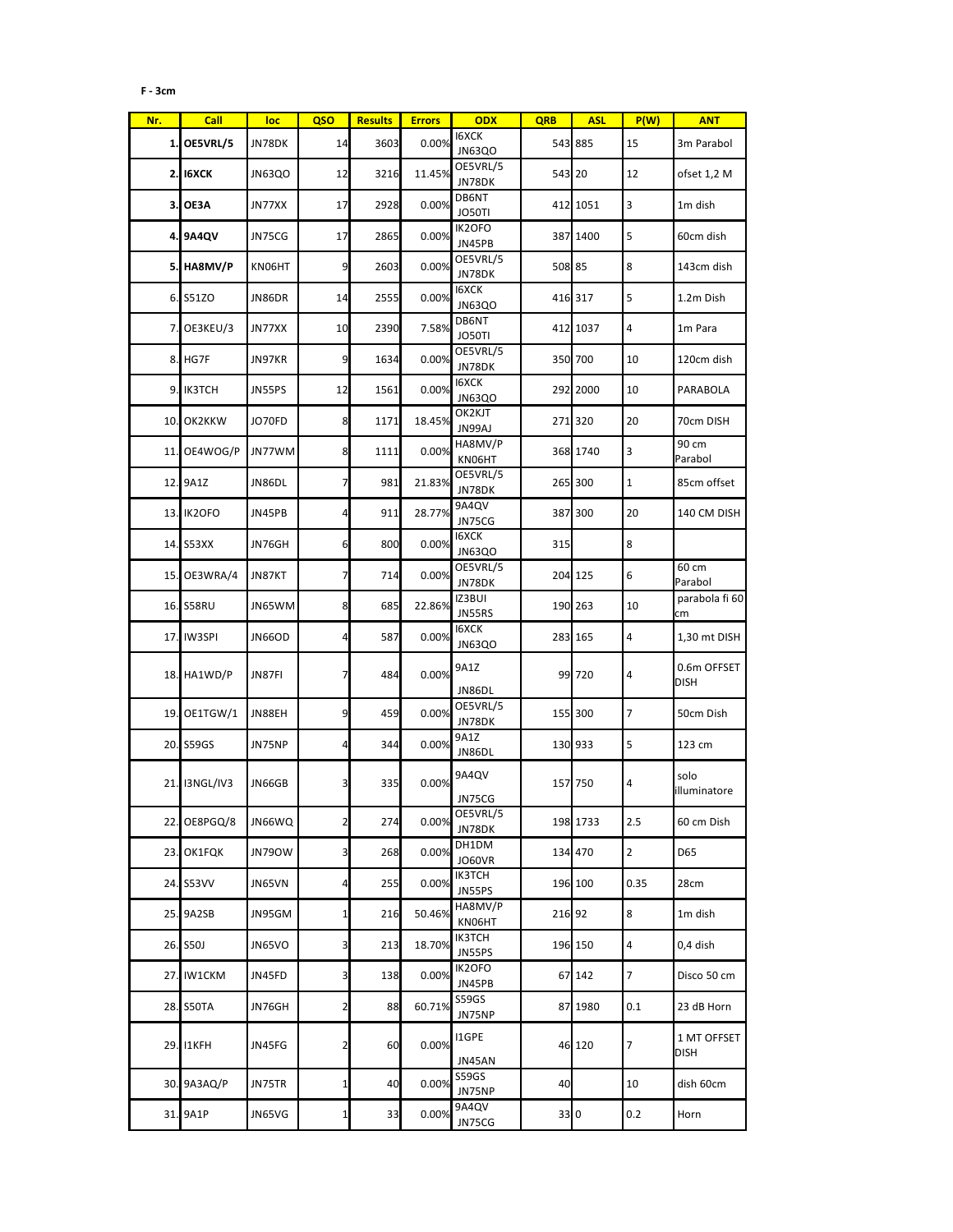## **F - 3cm**

| Nr. | <b>Call</b>     | loc    | QSO             | <b>Results</b> | <b>Errors</b> | <b>ODX</b>                    | <b>QRB</b> | <b>ASL</b> | P(W)           | <b>ANT</b>                 |
|-----|-----------------|--------|-----------------|----------------|---------------|-------------------------------|------------|------------|----------------|----------------------------|
|     | 1. OE5VRL/5     | JN78DK | 14              | 3603           | 0.00%         | <b>I6XCK</b><br>JN63QO        |            | 543 885    | 15             | 3m Parabol                 |
|     | <b>2. IGXCK</b> | JN63QO | 12              | 3216           | 11.45%        | OE5VRL/5<br>JN78DK            | 543 20     |            | 12             | ofset 1,2 M                |
| з.  | OE3A            | JN77XX | 17              | 2928           | 0.00%         | DB6NT<br>JO50TI               |            | 412 1051   | 3              | 1m dish                    |
|     | 4. 9A4QV        | JN75CG | 17              | 2865           | 0.00%         | IK2OFO<br>JN45PB              |            | 387 1400   | 5              | 60cm dish                  |
|     | 5. HA8MV/P      | KN06HT | 9               | 2603           | 0.00%         | OE5VRL/5<br>JN78DK            | 508 85     |            | 8              | 143cm dish                 |
|     | 6. S51ZO        | JN86DR | 14              | 2555           | 0.00%         | <b>I6XCK</b><br><b>JN63QO</b> |            | 416 317    | 5              | 1.2m Dish                  |
| 7.I | OE3KEU/3        | JN77XX | 10              | 2390           | 7.58%         | DB6NT<br><b>JO50TI</b>        |            | 412 1037   | 4              | 1m Para                    |
|     | 8. HG7F         | JN97KR | 9               | 1634           | 0.00%         | OE5VRL/5<br>JN78DK            |            | 350 700    | 10             | 120cm dish                 |
|     | 9. IK3TCH       | JN55PS | 12              | 1561           | 0.00%         | <b>I6XCK</b><br><b>JN63QO</b> |            | 292 2000   | 10             | PARABOLA                   |
| 10. | OK2KKW          | JO70FD | 8               | 1171           | 18.45%        | OK2KJT<br>JN99AJ              |            | 271 320    | 20             | 70cm DISH                  |
|     | 11. OE4WOG/P    | JN77WM | 8               | 1111           | 0.00%         | HA8MV/P<br>KN06HT             |            | 368 1740   | 3              | 90 cm<br>Parabol           |
|     | 12. 9A1Z        | JN86DL | $\overline{7}$  | 981            | 21.83%        | OE5VRL/5<br>JN78DK            |            | 265 300    | $\mathbf{1}$   | 85cm offset                |
|     | 13. IK2OFO      | JN45PB | $\overline{4}$  | 911            | 28.77%        | 9A4QV<br>JN75CG               |            | 387 300    | 20             | 140 CM DISH                |
|     | 14. S53XX       | JN76GH | 6               | 800            | 0.00%         | 16XCK<br><b>JN63QO</b>        | 315        |            | 8              |                            |
| 15. | OE3WRA/4        | JN87KT | $\overline{7}$  | 714            | 0.00%         | OE5VRL/5<br>JN78DK            |            | 204 125    | 6              | 60 cm<br>Parabol           |
|     | 16. S58RU       | JN65WM | 8               | 685            | 22.86%        | IZ3BUI<br>JN55RS              |            | 190 263    | 10             | parabola fi 60<br>cm       |
| 17. | IW3SPI          | JN66OD | $\overline{a}$  | 587            | 0.00%         | <b>I6XCK</b><br><b>JN63QO</b> |            | 283 165    | 4              | 1,30 mt DISH               |
|     | 18. HA1WD/P     | JN87FI | 7               | 484            | 0.00%         | 9A1Z<br>JN86DL                |            | 99 720     | 4              | 0.6m OFFSET<br><b>DISH</b> |
|     | 19. OE1TGW/1    | JN88EH | 9               | 459            | 0.00%         | OE5VRL/5<br>JN78DK            |            | 155 300    | $\overline{7}$ | 50cm Dish                  |
|     | 20. S59GS       | JN75NP | $\overline{4}$  | 344            | 0.00%         | 9A1Z<br>JN86DL                |            | 130 933    | 5              | 123 cm                     |
|     | 21. I3NGL/IV3   | JN66GB | 3               | 335            | 0.00%         | 9A4QV<br>JN75CG               |            | 157 750    | 4              | solo<br>illuminatore       |
| 22. | OE8PGQ/8        | JN66WQ | $\mathbf{2}$    | 274            | 0.00%         | OE5VRL/5<br>JN78DK            |            | 198 1733   | 2.5            | 60 cm Dish                 |
|     | 23. OK1FQK      | JN79OW | 3               | 268            | 0.00%         | DH1DM<br>JO60VR               |            | 134 470    | $\overline{2}$ | D65                        |
|     | 24. S53VV       | JN65VN | $\overline{4}$  | 255            | 0.00%         | <b>IK3TCH</b><br>JN55PS       |            | 196 100    | 0.35           | 28cm                       |
|     | 25. 9A2SB       | JN95GM | $1\overline{ }$ | 216            | 50.46%        | HA8MV/P<br>KN06HT             |            | 216 92     | 8              | 1m dish                    |
|     | 26. S50J        | JN65VO | 3               | 213            | 18.70%        | <b>IK3TCH</b><br>JN55PS       |            | 196 150    | $\overline{4}$ | 0,4 dish                   |
|     | 27. IW1CKM      | JN45FD | 3               | 138            | 0.00%         | IK2OFO<br>JN45PB              |            | 67 142     | $\overline{7}$ | Disco 50 cm                |
|     | 28. S50TA       | JN76GH | $\overline{2}$  | 88             | 60.71%        | S59GS<br>JN75NP               |            | 87 1980    | 0.1            | 23 dB Horn                 |
|     | 29. I1KFH       | JN45FG | $\overline{2}$  | 60             | 0.00%         | I1GPE<br>JN45AN               |            | 46 120     | 7              | 1 MT OFFSET<br><b>DISH</b> |
|     | 30. 9A3AQ/P     | JN75TR | $\mathbf{1}$    | 40             | 0.00%         | S59GS<br>JN75NP               | 40         |            | 10             | dish 60cm                  |
|     | 31. 9A1P        | JN65VG | $\mathbf{1}$    | 33             | 0.00%         | 9A4QV<br>JN75CG               |            | 33 0       | 0.2            | Horn                       |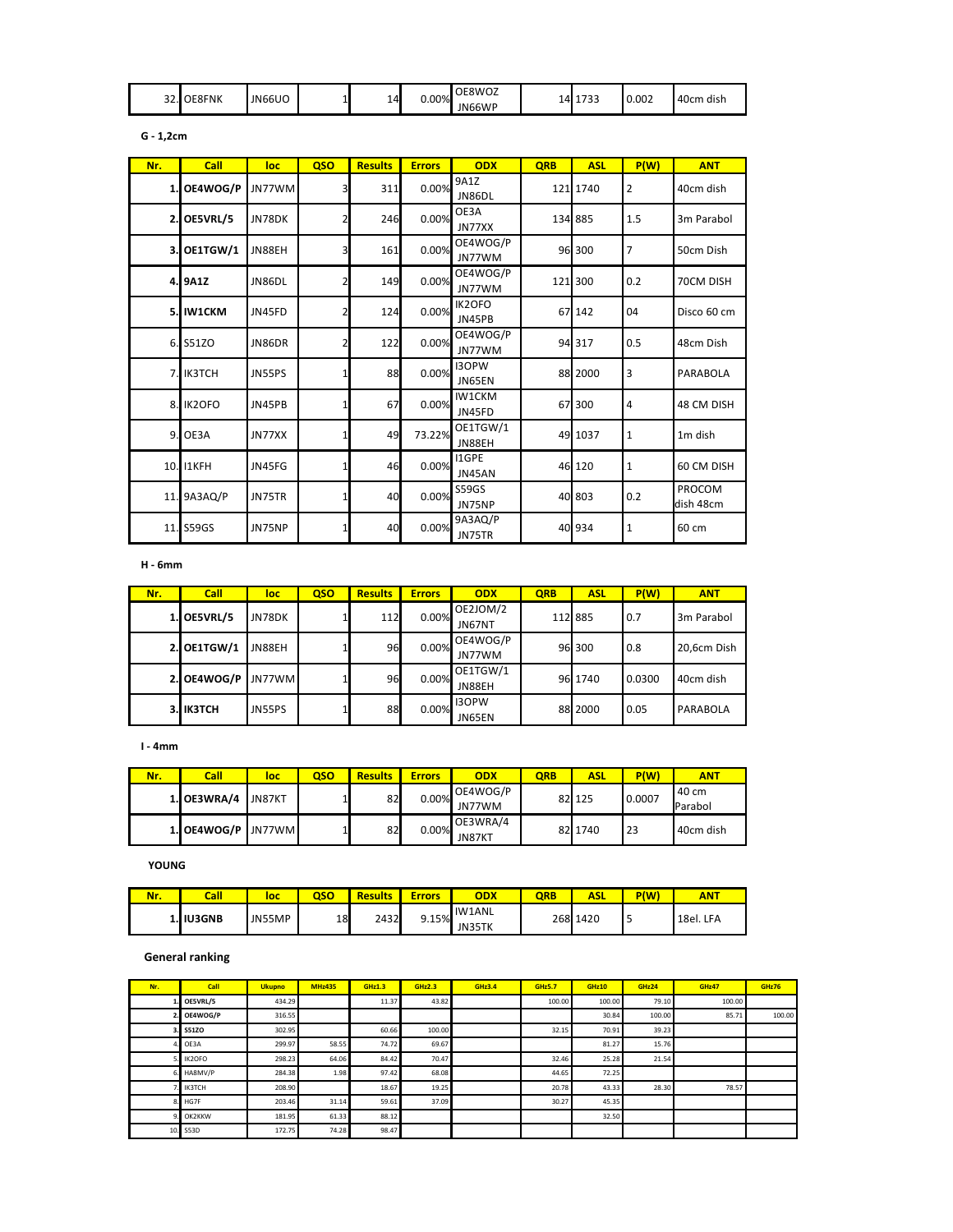| $\sim$<br>34.I | <b>DE8FNK</b> | <b>JN66UO</b> |  | 14<br>- | $0.00\%$ | OE8WOZ<br>JN66WP | .4 | $-22$<br>1733 | 0.002 | 40cm dish |
|----------------|---------------|---------------|--|---------|----------|------------------|----|---------------|-------|-----------|
|----------------|---------------|---------------|--|---------|----------|------------------|----|---------------|-------|-----------|

|  | zcm |
|--|-----|
|--|-----|

| Nr.            | Call          | loc    | QSO            | <b>Results</b> | <b>Errors</b> | ODX                    | <b>QRB</b> | <b>ASL</b> | P(W)           | <b>ANT</b>          |
|----------------|---------------|--------|----------------|----------------|---------------|------------------------|------------|------------|----------------|---------------------|
| $\mathbf{1}$   | OE4WOG/P      | JN77WM | 3              | 311            | 0.00%         | 9A1Z<br>JN86DL         |            | 121 1740   | $\overline{2}$ | 40cm dish           |
| 2              | OE5VRL/5      | JN78DK |                | 246            | 0.00%         | OE3A<br>JN77XX         |            | 134 885    | 1.5            | 3m Parabol          |
| 3.             | OE1TGW/1      | JN88EH | 3              | 161            | 0.00%         | OE4WOG/P<br>JN77WM     |            | 96 300     | $\overline{7}$ | 50cm Dish           |
|                | 4. 9A1Z       | JN86DL | $\overline{2}$ | 149            | 0.00%         | OE4WOG/P<br>JN77WM     |            | 121 300    | 0.2            | 70CM DISH           |
| 5.             | IW1CKM        | JN45FD | $\overline{2}$ | 124            | 0.00%         | IK2OFO<br>JN45PB       |            | 67 142     | 04             | Disco 60 cm         |
| 6.             | S51ZO         | JN86DR | $\overline{2}$ | 122            | 0.00%         | OE4WOG/P<br>JN77WM     |            | 94 317     | 0.5            | 48cm Dish           |
| $\overline{7}$ | <b>IK3TCH</b> | JN55PS | 1              | 88             | 0.00%         | <b>I3OPW</b><br>JN65EN |            | 88 2000    | $\overline{3}$ | <b>PARABOLA</b>     |
| 8              | IK2OFO        | JN45PB | 1              | 67             | 0.00%         | IW1CKM<br>JN45FD       |            | 67 300     | $\overline{4}$ | 48 CM DISH          |
| 9              | OE3A          | JN77XX |                | 49             | 73.22%        | OE1TGW/1<br>JN88EH     |            | 49 1037    | $\mathbf{1}$   | 1m dish             |
| 10.            | I1KFH         | JN45FG | 1              | 46             | 0.00%         | I1GPE<br>JN45AN        |            | 46 120     | $\mathbf{1}$   | 60 CM DISH          |
| 11             | 9A3AQ/P       | JN75TR | 1              | 40             | 0.00%         | S59GS<br>JN75NP        |            | 40 803     | 0.2            | PROCOM<br>dish 48cm |
| 11.            | S59GS         | JN75NP |                | 40             | 0.00%         | 9A3AQ/P<br>JN75TR      |            | 40 934     | $\mathbf{1}$   | 60 cm               |

 **H - 6mm**

| Nr. | Call      | loc    | <b>QSO</b> | <b>Results</b> | <b>Errors</b> | <b>ODX</b>   | <b>QRB</b> | <b>ASL</b> | P(W)   | <b>ANT</b>  |
|-----|-----------|--------|------------|----------------|---------------|--------------|------------|------------|--------|-------------|
|     | OE5VRL/5  | JN78DK |            | 112            | 0.00%         | OE2JOM/2     |            | 112 885    | 0.7    | 3m Parabol  |
|     |           |        |            |                |               | JN67NT       |            |            |        |             |
|     | OE1TGW/1  | JN88EH |            | 96I            | 0.00%         | OE4WOG/P     |            | 96 300     | 0.8    | 20,6cm Dish |
|     |           |        |            |                |               | JN77WM       |            |            |        |             |
|     | OE4WOG/P  | JN77WM |            | 96I            | 0.00%         | OE1TGW/1     |            | 96 1740    | 0.0300 | 40cm dish   |
|     |           |        |            |                |               | JN88EH       |            |            |        |             |
|     | 3. IK3TCH |        |            |                |               | <b>I3OPW</b> |            | 88 2000    |        |             |
|     |           | JN55PS |            | 88             | 0.00%         | JN65EN       |            |            | 0.05   | PARABOLA    |

 **I - 4mm**

| Nr. | Call                 | loc    | oso | <b>Results</b> | <b>Errors</b> | <b>ODX</b>         | <b>QRB</b> | ASL     | P(W)   | <b>ANT</b>         |
|-----|----------------------|--------|-----|----------------|---------------|--------------------|------------|---------|--------|--------------------|
|     | 1. OE3WRA/4          | JN87KT |     | 82             | $0.00\%$      | OE4WOG/P<br>JN77WM |            | 82 125  | 0.0007 | l 40 cm<br>Parabol |
|     | 1. OE4WOG/P LJN77WML |        |     | 82             | $0.00\%$      | OE3WRA/4<br>JN87KT |            | 82 1740 | 23     | 40cm dish          |

 **YOUNG**

| Nr. | Call             | loc    | QSO | <b>Results</b> | <u>frors:</u> | <b>ODX</b>       | ORB | ASL  | P(W) | <b>ANT</b> |
|-----|------------------|--------|-----|----------------|---------------|------------------|-----|------|------|------------|
|     | <b>1. IU3GNB</b> | JN55MP | 18  | 2432           | 9.15%         | IW1ANL<br>JN35TK | 268 | 1420 | Þ    | 18el. LFA  |

## **General ranking**

| Nr. | <b>Call</b>  | <b>Ukupno</b> | <b>MHz435</b> | <b>GHz1.3</b> | <b>GHz2.3</b> | <b>GHz3.4</b> | <b>GHz5.7</b> | <b>GHz10</b> | GHz24  | GHz47  | GHz76  |
|-----|--------------|---------------|---------------|---------------|---------------|---------------|---------------|--------------|--------|--------|--------|
|     | OE5VRL/5     | 434.29        |               | 11.37         | 43.82         |               | 100.00        | 100.00       | 79.10  | 100.00 |        |
|     | OE4WOG/P     | 316.55        |               |               |               |               |               | 30.84        | 100.00 | 85.71  | 100.00 |
|     | <b>S51ZO</b> | 302.95        |               | 60.66         | 100.00        |               | 32.15         | 70.91        | 39.23  |        |        |
|     | OE3A         | 299.97        | 58.55         | 74.72         | 69.67         |               |               | 81.27        | 15.76  |        |        |
|     | IK2OFO       | 298.23        | 64.06         | 84.42         | 70.47         |               | 32.46         | 25.28        | 21.54  |        |        |
|     | HA8MV/P      | 284.38        | 1.98          | 97.42         | 68.08         |               | 44.65         | 72.25        |        |        |        |
|     | IK3TCH       | 208.90        |               | 18.67         | 19.25         |               | 20.78         | 43.33        | 28.30  | 78.57  |        |
|     | HG7F         | 203.46        | 31.14         | 59.61         | 37.09         |               | 30.27         | 45.35        |        |        |        |
|     | OK2KKW       | 181.95        | 61.33         | 88.12         |               |               |               | 32.50        |        |        |        |
| 10. | S53D         | 172.75        | 74.28         | 98.47         |               |               |               |              |        |        |        |